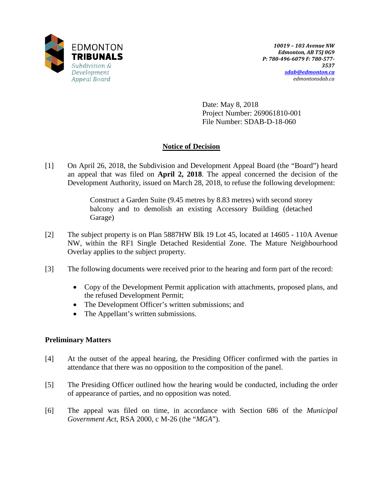

Date: May 8, 2018 Project Number: 269061810-001 File Number: SDAB-D-18-060

# **Notice of Decision**

[1] On April 26, 2018, the Subdivision and Development Appeal Board (the "Board") heard an appeal that was filed on **April 2, 2018**. The appeal concerned the decision of the Development Authority, issued on March 28, 2018, to refuse the following development:

> Construct a Garden Suite (9.45 metres by 8.83 metres) with second storey balcony and to demolish an existing Accessory Building (detached Garage)

- [2] The subject property is on Plan 5887HW Blk 19 Lot 45, located at 14605 110A Avenue NW, within the RF1 Single Detached Residential Zone. The Mature Neighbourhood Overlay applies to the subject property.
- [3] The following documents were received prior to the hearing and form part of the record:
	- Copy of the Development Permit application with attachments, proposed plans, and the refused Development Permit;
	- The Development Officer's written submissions; and
	- The Appellant's written submissions.

# **Preliminary Matters**

- [4] At the outset of the appeal hearing, the Presiding Officer confirmed with the parties in attendance that there was no opposition to the composition of the panel.
- [5] The Presiding Officer outlined how the hearing would be conducted, including the order of appearance of parties, and no opposition was noted.
- [6] The appeal was filed on time, in accordance with Section 686 of the *Municipal Government Act*, RSA 2000, c M-26 (the "*MGA*").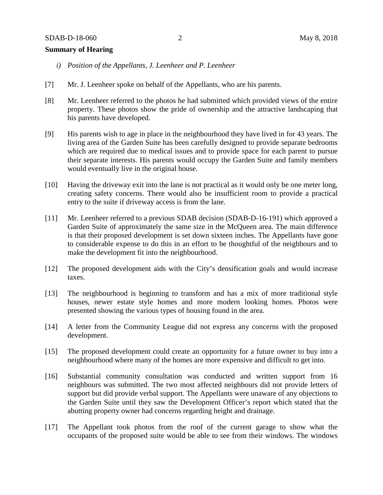## **Summary of Hearing**

- *i) Position of the Appellants, J. Leenheer and P. Leenheer*
- [7] Mr. J. Leenheer spoke on behalf of the Appellants, who are his parents.
- [8] Mr. Leenheer referred to the photos he had submitted which provided views of the entire property. These photos show the pride of ownership and the attractive landscaping that his parents have developed.
- [9] His parents wish to age in place in the neighbourhood they have lived in for 43 years. The living area of the Garden Suite has been carefully designed to provide separate bedrooms which are required due to medical issues and to provide space for each parent to pursue their separate interests. His parents would occupy the Garden Suite and family members would eventually live in the original house.
- [10] Having the driveway exit into the lane is not practical as it would only be one meter long, creating safety concerns. There would also be insufficient room to provide a practical entry to the suite if driveway access is from the lane.
- [11] Mr. Leenheer referred to a previous SDAB decision (SDAB-D-16-191) which approved a Garden Suite of approximately the same size in the McQueen area. The main difference is that their proposed development is set down sixteen inches. The Appellants have gone to considerable expense to do this in an effort to be thoughtful of the neighbours and to make the development fit into the neighbourhood.
- [12] The proposed development aids with the City's densification goals and would increase taxes.
- [13] The neighbourhood is beginning to transform and has a mix of more traditional style houses, newer estate style homes and more modern looking homes. Photos were presented showing the various types of housing found in the area.
- [14] A letter from the Community League did not express any concerns with the proposed development.
- [15] The proposed development could create an opportunity for a future owner to buy into a neighbourhood where many of the homes are more expensive and difficult to get into.
- [16] Substantial community consultation was conducted and written support from 16 neighbours was submitted. The two most affected neighbours did not provide letters of support but did provide verbal support. The Appellants were unaware of any objections to the Garden Suite until they saw the Development Officer's report which stated that the abutting property owner had concerns regarding height and drainage.
- [17] The Appellant took photos from the roof of the current garage to show what the occupants of the proposed suite would be able to see from their windows. The windows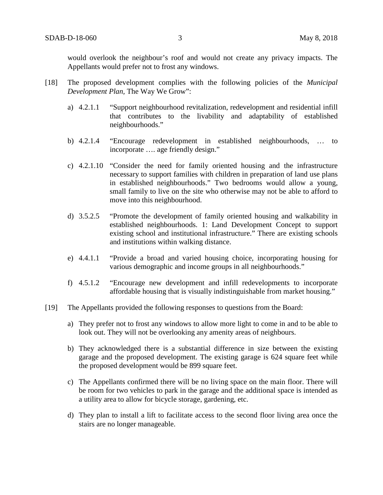would overlook the neighbour's roof and would not create any privacy impacts. The Appellants would prefer not to frost any windows.

- [18] The proposed development complies with the following policies of the *Municipal Development Plan,* The Way We Grow":
	- a) 4.2.1.1 "Support neighbourhood revitalization, redevelopment and residential infill that contributes to the livability and adaptability of established neighbourhoods."
	- b) 4.2.1.4 "Encourage redevelopment in established neighbourhoods, … to incorporate …. age friendly design."
	- c) 4.2.1.10 "Consider the need for family oriented housing and the infrastructure necessary to support families with children in preparation of land use plans in established neighbourhoods." Two bedrooms would allow a young, small family to live on the site who otherwise may not be able to afford to move into this neighbourhood.
	- d) 3.5.2.5 "Promote the development of family oriented housing and walkability in established neighbourhoods. 1: Land Development Concept to support existing school and institutional infrastructure." There are existing schools and institutions within walking distance.
	- e) 4.4.1.1 "Provide a broad and varied housing choice, incorporating housing for various demographic and income groups in all neighbourhoods."
	- f) 4.5.1.2 "Encourage new development and infill redevelopments to incorporate affordable housing that is visually indistinguishable from market housing."
- [19] The Appellants provided the following responses to questions from the Board:
	- a) They prefer not to frost any windows to allow more light to come in and to be able to look out. They will not be overlooking any amenity areas of neighbours.
	- b) They acknowledged there is a substantial difference in size between the existing garage and the proposed development. The existing garage is 624 square feet while the proposed development would be 899 square feet.
	- c) The Appellants confirmed there will be no living space on the main floor. There will be room for two vehicles to park in the garage and the additional space is intended as a utility area to allow for bicycle storage, gardening, etc.
	- d) They plan to install a lift to facilitate access to the second floor living area once the stairs are no longer manageable.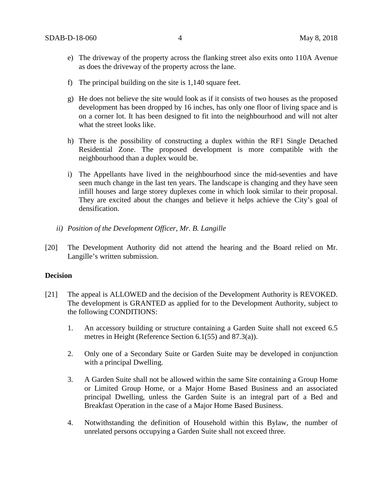- e) The driveway of the property across the flanking street also exits onto 110A Avenue as does the driveway of the property across the lane.
- f) The principal building on the site is 1,140 square feet.
- g) He does not believe the site would look as if it consists of two houses as the proposed development has been dropped by 16 inches, has only one floor of living space and is on a corner lot. It has been designed to fit into the neighbourhood and will not alter what the street looks like.
- h) There is the possibility of constructing a duplex within the RF1 Single Detached Residential Zone. The proposed development is more compatible with the neighbourhood than a duplex would be.
- i) The Appellants have lived in the neighbourhood since the mid-seventies and have seen much change in the last ten years. The landscape is changing and they have seen infill houses and large storey duplexes come in which look similar to their proposal. They are excited about the changes and believe it helps achieve the City's goal of densification.
- *ii) Position of the Development Officer, Mr. B. Langille*
- [20] The Development Authority did not attend the hearing and the Board relied on Mr. Langille's written submission.

### **Decision**

- [21] The appeal is ALLOWED and the decision of the Development Authority is REVOKED. The development is GRANTED as applied for to the Development Authority, subject to the following CONDITIONS:
	- 1. An accessory building or structure containing a Garden Suite shall not exceed 6.5 metres in Height (Reference Section 6.1(55) and 87.3(a)).
	- 2. Only one of a Secondary Suite or Garden Suite may be developed in conjunction with a principal Dwelling.
	- 3. A Garden Suite shall not be allowed within the same Site containing a Group Home or Limited Group Home, or a Major Home Based Business and an associated principal Dwelling, unless the Garden Suite is an integral part of a Bed and Breakfast Operation in the case of a Major Home Based Business.
	- 4. Notwithstanding the definition of Household within this Bylaw, the number of unrelated persons occupying a Garden Suite shall not exceed three.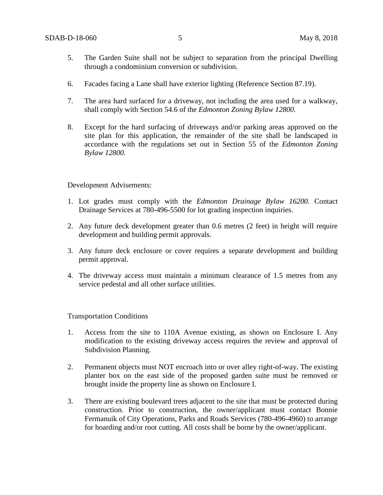- 5. The Garden Suite shall not be subject to separation from the principal Dwelling through a condominium conversion or subdivision.
- 6. Facades facing a Lane shall have exterior lighting (Reference Section 87.19).
- 7. The area hard surfaced for a driveway, not including the area used for a walkway, shall comply with Section 54.6 of the *Edmonton Zoning Bylaw 12800*.
- 8. Except for the hard surfacing of driveways and/or parking areas approved on the site plan for this application, the remainder of the site shall be landscaped in accordance with the regulations set out in Section 55 of the *Edmonton Zoning Bylaw 12800*.

Development Advisements:

- 1. Lot grades must comply with the *Edmonton Drainage Bylaw 16200*. Contact Drainage Services at 780-496-5500 for lot grading inspection inquiries.
- 2. Any future deck development greater than 0.6 metres (2 feet) in height will require development and building permit approvals.
- 3. Any future deck enclosure or cover requires a separate development and building permit approval.
- 4. The driveway access must maintain a minimum clearance of 1.5 metres from any service pedestal and all other surface utilities.

Transportation Conditions

- 1. Access from the site to 110A Avenue existing, as shown on Enclosure I. Any modification to the existing driveway access requires the review and approval of Subdivision Planning.
- 2. Permanent objects must NOT encroach into or over alley right-of-way. The existing planter box on the east side of the proposed garden suite must be removed or brought inside the property line as shown on Enclosure I.
- 3. There are existing boulevard trees adjacent to the site that must be protected during construction. Prior to construction, the owner/applicant must contact Bonnie Fermanuik of City Operations, Parks and Roads Services (780-496-4960) to arrange for hoarding and/or root cutting. All costs shall be borne by the owner/applicant.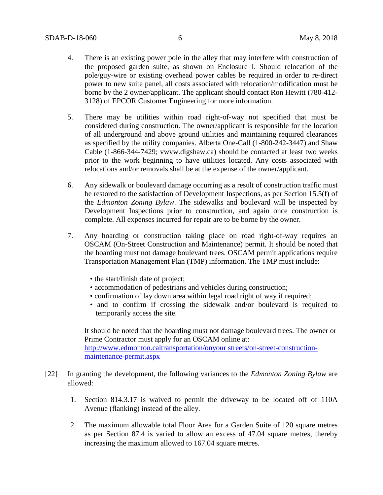- 4. There is an existing power pole in the alley that may interfere with construction of the proposed garden suite, as shown on Enclosure I. Should relocation of the pole/guy-wire or existing overhead power cables be required in order to re-direct power to new suite panel, all costs associated with relocation/modification must be borne by the 2 owner/applicant. The applicant should contact Ron Hewitt (780-412- 3128) of EPCOR Customer Engineering for more information.
- 5. There may be utilities within road right-of-way not specified that must be considered during construction. The owner/applicant is responsible for the location of all underground and above ground utilities and maintaining required clearances as specified by the utility companies. Alberta One-Call (1-800-242-3447) and Shaw Cable (1-866-344-7429; [vwvw.digshaw.ca\)](http://vwvw.digshaw.ca/) should be contacted at least two weeks prior to the work beginning to have utilities located. Any costs associated with relocations and/or removals shall be at the expense of the owner/applicant.
- 6. Any sidewalk or boulevard damage occurring as a result of construction traffic must be restored to the satisfaction of Development Inspections, as per Section 15.5(f) of the *Edmonton Zoning Bylaw*. The sidewalks and boulevard will be inspected by Development Inspections prior to construction, and again once construction is complete. All expenses incurred for repair are to be borne by the owner.
- 7. Any hoarding or construction taking place on road right-of-way requires an OSCAM (On-Street Construction and Maintenance) permit. It should be noted that the hoarding must not damage boulevard trees. OSCAM permit applications require Transportation Management Plan (TMP) information. The TMP must include:
	- the start/finish date of project;
	- accommodation of pedestrians and vehicles during construction;
	- confirmation of lay down area within legal road right of way if required;
	- and to confirm if crossing the sidewalk and/or boulevard is required to temporarily access the site.

It should be noted that the hoarding must not damage boulevard trees. The owner or Prime Contractor must apply for an OSCAM online at: [http://www.edmonton.caltransportation/onyour streets/on-street-construction](http://www.edmonton.caltransportation/onyour%20streets/on-street-construction-%20maintenance-permit.aspx)[maintenance-permit.aspx](http://www.edmonton.caltransportation/onyour%20streets/on-street-construction-%20maintenance-permit.aspx)

- [22] In granting the development, the following variances to the *Edmonton Zoning Bylaw* are allowed:
	- 1. Section 814.3.17 is waived to permit the driveway to be located off of 110A Avenue (flanking) instead of the alley.
	- 2. The maximum allowable total Floor Area for a Garden Suite of 120 square metres as per Section 87.4 is varied to allow an excess of 47.04 square metres, thereby increasing the maximum allowed to 167.04 square metres.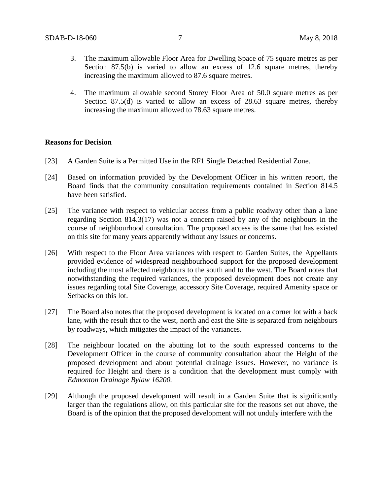- 3. The maximum allowable Floor Area for Dwelling Space of 75 square metres as per Section 87.5(b) is varied to allow an excess of 12.6 square metres, thereby increasing the maximum allowed to 87.6 square metres.
- 4. The maximum allowable second Storey Floor Area of 50.0 square metres as per Section 87.5(d) is varied to allow an excess of 28.63 square metres, thereby increasing the maximum allowed to 78.63 square metres.

#### **Reasons for Decision**

- [23] A Garden Suite is a Permitted Use in the RF1 Single Detached Residential Zone.
- [24] Based on information provided by the Development Officer in his written report, the Board finds that the community consultation requirements contained in Section 814.5 have been satisfied.
- [25] The variance with respect to vehicular access from a public roadway other than a lane regarding Section 814.3(17) was not a concern raised by any of the neighbours in the course of neighbourhood consultation. The proposed access is the same that has existed on this site for many years apparently without any issues or concerns.
- [26] With respect to the Floor Area variances with respect to Garden Suites, the Appellants provided evidence of widespread neighbourhood support for the proposed development including the most affected neighbours to the south and to the west. The Board notes that notwithstanding the required variances, the proposed development does not create any issues regarding total Site Coverage, accessory Site Coverage, required Amenity space or Setbacks on this lot.
- [27] The Board also notes that the proposed development is located on a corner lot with a back lane, with the result that to the west, north and east the Site is separated from neighbours by roadways, which mitigates the impact of the variances.
- [28] The neighbour located on the abutting lot to the south expressed concerns to the Development Officer in the course of community consultation about the Height of the proposed development and about potential drainage issues. However, no variance is required for Height and there is a condition that the development must comply with *Edmonton Drainage Bylaw 16200.*
- [29] Although the proposed development will result in a Garden Suite that is significantly larger than the regulations allow, on this particular site for the reasons set out above, the Board is of the opinion that the proposed development will not unduly interfere with the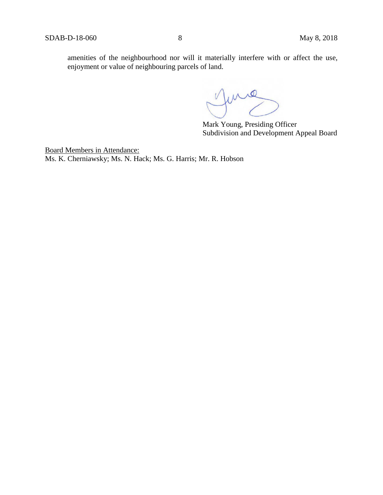amenities of the neighbourhood nor will it materially interfere with or affect the use, enjoyment or value of neighbouring parcels of land.

June

Mark Young, Presiding Officer Subdivision and Development Appeal Board

Board Members in Attendance: Ms. K. Cherniawsky; Ms. N. Hack; Ms. G. Harris; Mr. R. Hobson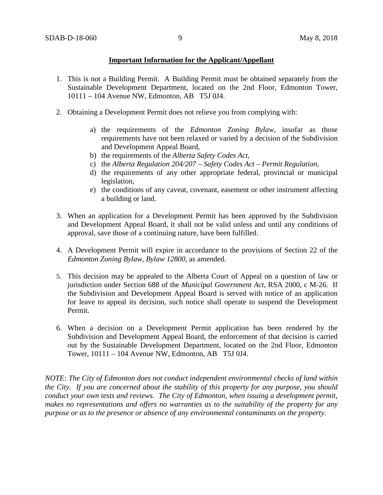## **Important Information for the Applicant/Appellant**

- 1. This is not a Building Permit. A Building Permit must be obtained separately from the Sustainable Development Department, located on the 2nd Floor, Edmonton Tower, 10111 – 104 Avenue NW, Edmonton, AB T5J 0J4.
- 2. Obtaining a Development Permit does not relieve you from complying with:
	- a) the requirements of the *Edmonton Zoning Bylaw*, insofar as those requirements have not been relaxed or varied by a decision of the Subdivision and Development Appeal Board,
	- b) the requirements of the *Alberta Safety Codes Act*,
	- c) the *Alberta Regulation 204/207 – Safety Codes Act – Permit Regulation*,
	- d) the requirements of any other appropriate federal, provincial or municipal legislation,
	- e) the conditions of any caveat, covenant, easement or other instrument affecting a building or land.
- 3. When an application for a Development Permit has been approved by the Subdivision and Development Appeal Board, it shall not be valid unless and until any conditions of approval, save those of a continuing nature, have been fulfilled.
- 4. A Development Permit will expire in accordance to the provisions of Section 22 of the *Edmonton Zoning Bylaw, Bylaw 12800*, as amended.
- 5. This decision may be appealed to the Alberta Court of Appeal on a question of law or jurisdiction under Section 688 of the *Municipal Government Act*, RSA 2000, c M-26. If the Subdivision and Development Appeal Board is served with notice of an application for leave to appeal its decision, such notice shall operate to suspend the Development Permit.
- 6. When a decision on a Development Permit application has been rendered by the Subdivision and Development Appeal Board, the enforcement of that decision is carried out by the Sustainable Development Department, located on the 2nd Floor, Edmonton Tower, 10111 – 104 Avenue NW, Edmonton, AB T5J 0J4.

*NOTE: The City of Edmonton does not conduct independent environmental checks of land within the City. If you are concerned about the stability of this property for any purpose, you should conduct your own tests and reviews. The City of Edmonton, when issuing a development permit, makes no representations and offers no warranties as to the suitability of the property for any purpose or as to the presence or absence of any environmental contaminants on the property.*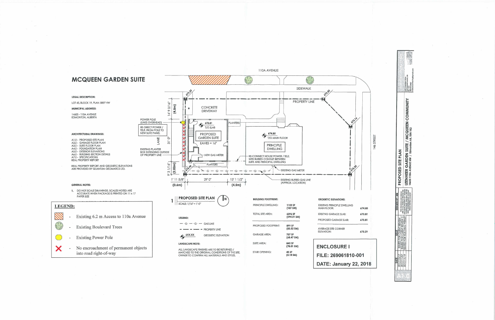

|  |                                                                                                                                                                                                                                              | 7 Sherridon Drive | rort Saskatchewan, AB                                                                      | 1868-116-08 |  |
|--|----------------------------------------------------------------------------------------------------------------------------------------------------------------------------------------------------------------------------------------------|-------------------|--------------------------------------------------------------------------------------------|-------------|--|
|  | <b>PROPOSED SITE PLAN</b>                                                                                                                                                                                                                    |                   | I LEENHEER GARDEN SUITE / MCQUEEN COMMUNITY<br>14605 110A AVENUE NW / Edmonton AB, T5N 1K2 |             |  |
|  | <b>BUILDING PERMIT</b> BICLUSIVE PROPERTY OF 'KOESTER<br>CONTRACTING' AND MAY NOT BE<br>R CLIENT REVIEW THIS DRAWING AND DESIGN CLIENT REVIEW 2 ARE AT ALL TIMES TO REMAIN THE<br>USED OR REPRODUCED WITHOUT<br><b>PRIOR WRITTEN CONSENT</b> |                   |                                                                                            |             |  |
|  |                                                                                                                                                                                                                                              |                   |                                                                                            |             |  |
|  |                                                                                                                                                                                                                                              |                   |                                                                                            |             |  |

Northern Company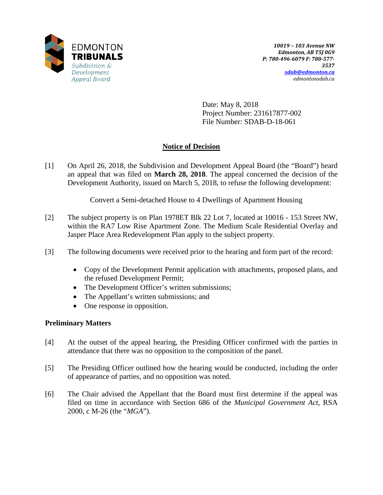

Date: May 8, 2018 Project Number: 231617877-002 File Number: SDAB-D-18-061

# **Notice of Decision**

[1] On April 26, 2018, the Subdivision and Development Appeal Board (the "Board") heard an appeal that was filed on **March 28, 2018**. The appeal concerned the decision of the Development Authority, issued on March 5, 2018, to refuse the following development:

Convert a Semi-detached House to 4 Dwellings of Apartment Housing

- [2] The subject property is on Plan 1978ET Blk 22 Lot 7, located at 10016 153 Street NW, within the RA7 Low Rise Apartment Zone. The Medium Scale Residential Overlay and Jasper Place Area Redevelopment Plan apply to the subject property.
- [3] The following documents were received prior to the hearing and form part of the record:
	- Copy of the Development Permit application with attachments, proposed plans, and the refused Development Permit;
	- The Development Officer's written submissions;
	- The Appellant's written submissions; and
	- One response in opposition.

# **Preliminary Matters**

- [4] At the outset of the appeal hearing, the Presiding Officer confirmed with the parties in attendance that there was no opposition to the composition of the panel.
- [5] The Presiding Officer outlined how the hearing would be conducted, including the order of appearance of parties, and no opposition was noted.
- [6] The Chair advised the Appellant that the Board must first determine if the appeal was filed on time in accordance with Section 686 of the *Municipal Government Act*, RSA 2000, c M-26 (the "*MGA*").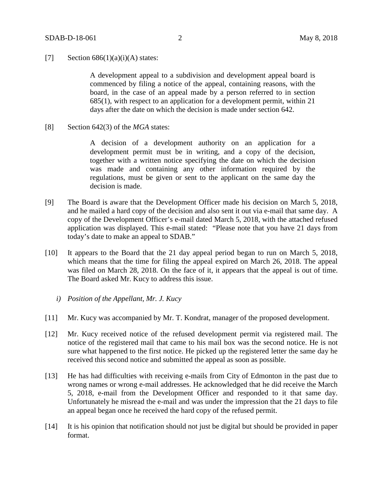### [7] Section  $686(1)(a)(i)(A)$  states:

A development appeal to a subdivision and development appeal board is commenced by filing a notice of the appeal, containing reasons, with the board, in the case of an appeal made by a person referred to in section 685(1), with respect to an application for a development permit, within 21 days after the date on which the decision is made under section 642.

[8] Section 642(3) of the *MGA* states:

A decision of a development authority on an application for a development permit must be in writing, and a copy of the decision, together with a written notice specifying the date on which the decision was made and containing any other information required by the regulations, must be given or sent to the applicant on the same day the decision is made.

- [9] The Board is aware that the Development Officer made his decision on March 5, 2018, and he mailed a hard copy of the decision and also sent it out via e-mail that same day. A copy of the Development Officer's e-mail dated March 5, 2018, with the attached refused application was displayed. This e-mail stated: "Please note that you have 21 days from today's date to make an appeal to SDAB."
- [10] It appears to the Board that the 21 day appeal period began to run on March 5, 2018, which means that the time for filing the appeal expired on March 26, 2018. The appeal was filed on March 28, 2018. On the face of it, it appears that the appeal is out of time. The Board asked Mr. Kucy to address this issue.
	- *i) Position of the Appellant, Mr. J. Kucy*
- [11] Mr. Kucy was accompanied by Mr. T. Kondrat, manager of the proposed development.
- [12] Mr. Kucy received notice of the refused development permit via registered mail. The notice of the registered mail that came to his mail box was the second notice. He is not sure what happened to the first notice. He picked up the registered letter the same day he received this second notice and submitted the appeal as soon as possible.
- [13] He has had difficulties with receiving e-mails from City of Edmonton in the past due to wrong names or wrong e-mail addresses. He acknowledged that he did receive the March 5, 2018, e-mail from the Development Officer and responded to it that same day. Unfortunately he misread the e-mail and was under the impression that the 21 days to file an appeal began once he received the hard copy of the refused permit.
- [14] It is his opinion that notification should not just be digital but should be provided in paper format.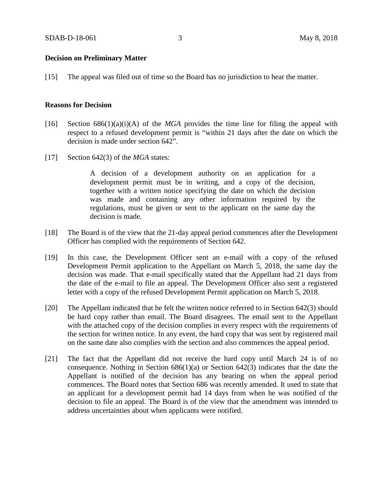### **Decision on Preliminary Matter**

[15] The appeal was filed out of time so the Board has no jurisdiction to hear the matter.

#### **Reasons for Decision**

- [16] Section  $686(1)(a)(i)(A)$  of the *MGA* provides the time line for filing the appeal with respect to a refused development permit is "within 21 days after the date on which the decision is made under section 642".
- [17] Section 642(3) of the *MGA* states:

A decision of a development authority on an application for a development permit must be in writing, and a copy of the decision, together with a written notice specifying the date on which the decision was made and containing any other information required by the regulations, must be given or sent to the applicant on the same day the decision is made.

- [18] The Board is of the view that the 21-day appeal period commences after the Development Officer has complied with the requirements of Section 642.
- [19] In this case, the Development Officer sent an e-mail with a copy of the refused Development Permit application to the Appellant on March 5, 2018, the same day the decision was made. That e-mail specifically stated that the Appellant had 21 days from the date of the e-mail to file an appeal. The Development Officer also sent a registered letter with a copy of the refused Development Permit application on March 5, 2018.
- [20] The Appellant indicated that he felt the written notice referred to in Section 642(3) should be hard copy rather than email. The Board disagrees. The email sent to the Appellant with the attached copy of the decision complies in every respect with the requirements of the section for written notice. In any event, the hard copy that was sent by registered mail on the same date also complies with the section and also commences the appeal period.
- [21] The fact that the Appellant did not receive the hard copy until March 24 is of no consequence. Nothing in Section  $686(1)(a)$  or Section  $642(3)$  indicates that the date the Appellant is notified of the decision has any bearing on when the appeal period commences. The Board notes that Section 686 was recently amended. It used to state that an applicant for a development permit had 14 days from when he was notified of the decision to file an appeal. The Board is of the view that the amendment was intended to address uncertainties about when applicants were notified.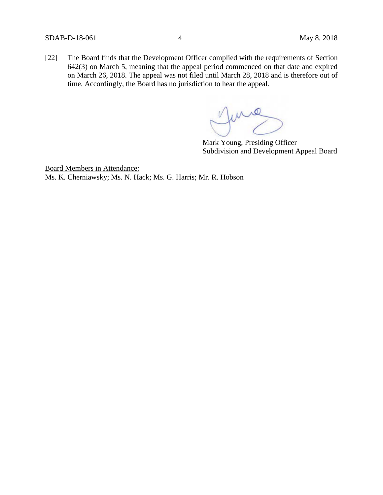[22] The Board finds that the Development Officer complied with the requirements of Section 642(3) on March 5, meaning that the appeal period commenced on that date and expired on March 26, 2018. The appeal was not filed until March 28, 2018 and is therefore out of time. Accordingly, the Board has no jurisdiction to hear the appeal.

me

Mark Young, Presiding Officer Subdivision and Development Appeal Board

Board Members in Attendance: Ms. K. Cherniawsky; Ms. N. Hack; Ms. G. Harris; Mr. R. Hobson